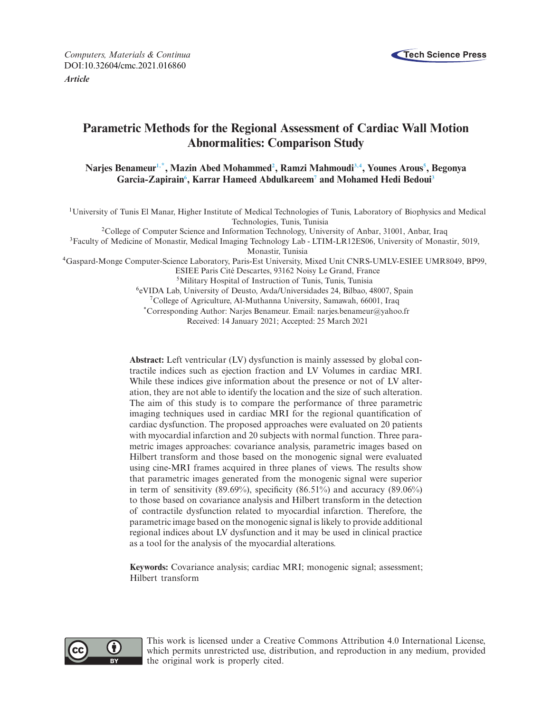

*Computers, Materials & Continua* **Tech Science Press** DOI[:10.32604/cmc.2021.016860](http://dx.doi.org/10.32604/cmc.2021.016860) *Article*

# **Parametric Methods for the Regional Assessment of Cardiac Wall Motion Abnormalities: Comparison Study**

 $N$ arjes Benameur<sup>1,\*</sup>, Mazin Abed Mohammed<sup>2</sup>, Ramzi Mahmoudi<sup>3,4</sup>, Younes Arous<sup>5</sup>, Begonya Garcia-Zapirain<sup>6</sup>, Karrar Hameed Abdulkareem<sup>7</sup> and Mohamed Hedi Bedoui<sup>3</sup>

<span id="page-0-0"></span>1University of Tunis El Manar, Higher Institute of Medical Technologies of Tunis, Laboratory of Biophysics and Medical Technologies, Tunis, Tunisia

<span id="page-0-2"></span>2College of Computer Science and Information Technology, University of Anbar, 31001, Anbar, Iraq

<span id="page-0-3"></span><sup>3</sup>Faculty of Medicine of Monastir, Medical Imaging Technology Lab - LTIM-LR12ES06, University of Monastir, 5019,

Monastir, Tunisia

<span id="page-0-4"></span>4Gaspard-Monge Computer-Science Laboratory, Paris-Est University, Mixed Unit CNRS-UMLV-ESIEE UMR8049, BP99,

ESIEE Paris Cité Descartes, 93162 Noisy Le Grand, France

<span id="page-0-5"></span>5Military Hospital of Instruction of Tunis, Tunis, Tunisia

<span id="page-0-6"></span>6eVIDA Lab, University of Deusto, Avda/Universidades 24, Bilbao, 48007, Spain

<span id="page-0-7"></span>7College of Agriculture, Al-Muthanna University, Samawah, 66001, Iraq

<span id="page-0-1"></span>\*Corresponding Author: Narjes Benameur. Email: narjes.benameur@yahoo.fr Received: 14 January 2021; Accepted: 25 March 2021

**Abstract:** Left ventricular (LV) dysfunction is mainly assessed by global contractile indices such as ejection fraction and LV Volumes in cardiac MRI. While these indices give information about the presence or not of LV alteration, they are not able to identify the location and the size of such alteration. The aim of this study is to compare the performance of three parametric imaging techniques used in cardiac MRI for the regional quantification of cardiac dysfunction. The proposed approaches were evaluated on 20 patients with myocardial infarction and 20 subjects with normal function. Three parametric images approaches: covariance analysis, parametric images based on Hilbert transform and those based on the monogenic signal were evaluated using cine-MRI frames acquired in three planes of views. The results show that parametric images generated from the monogenic signal were superior in term of sensitivity  $(89.69\%)$ , specificity  $(86.51\%)$  and accuracy  $(89.06\%)$ to those based on covariance analysis and Hilbert transform in the detection of contractile dysfunction related to myocardial infarction. Therefore, the parametric image based on the monogenic signal is likely to provide additional regional indices about LV dysfunction and it may be used in clinical practice as a tool for the analysis of the myocardial alterations.

**Keywords:** Covariance analysis; cardiac MRI; monogenic signal; assessment; Hilbert transform



This work is licensed under a Creative Commons Attribution 4.0 International License, which permits unrestricted use, distribution, and reproduction in any medium, provided the original work is properly cited.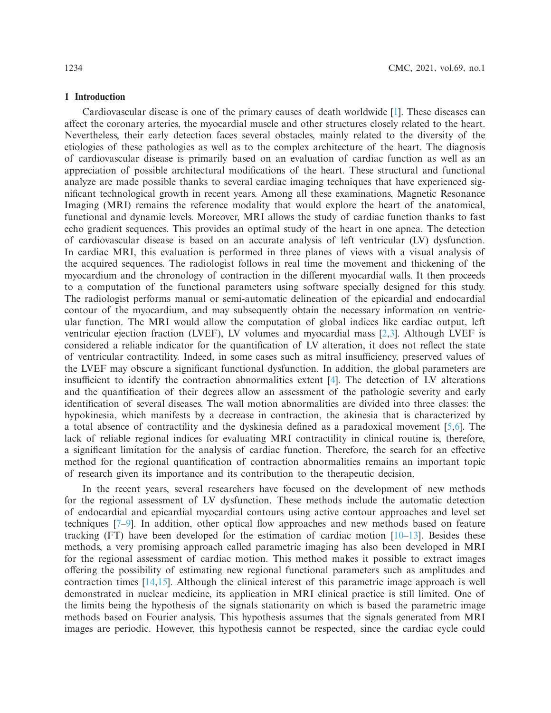#### **1 Introduction**

Cardiovascular disease is one of the primary causes of death worldwide [\[1\]](#page-16-0). These diseases can affect the coronary arteries, the myocardial muscle and other structures closely related to the heart. Nevertheless, their early detection faces several obstacles, mainly related to the diversity of the etiologies of these pathologies as well as to the complex architecture of the heart. The diagnosis of cardiovascular disease is primarily based on an evaluation of cardiac function as well as an appreciation of possible architectural modifications of the heart. These structural and functional analyze are made possible thanks to several cardiac imaging techniques that have experienced significant technological growth in recent years. Among all these examinations, Magnetic Resonance Imaging (MRI) remains the reference modality that would explore the heart of the anatomical, functional and dynamic levels. Moreover, MRI allows the study of cardiac function thanks to fast echo gradient sequences. This provides an optimal study of the heart in one apnea. The detection of cardiovascular disease is based on an accurate analysis of left ventricular (LV) dysfunction. In cardiac MRI, this evaluation is performed in three planes of views with a visual analysis of the acquired sequences. The radiologist follows in real time the movement and thickening of the myocardium and the chronology of contraction in the different myocardial walls. It then proceeds to a computation of the functional parameters using software specially designed for this study. The radiologist performs manual or semi-automatic delineation of the epicardial and endocardial contour of the myocardium, and may subsequently obtain the necessary information on ventricular function. The MRI would allow the computation of global indices like cardiac output, left ventricular ejection fraction (LVEF), LV volumes and myocardial mass [\[2](#page-16-1)[,3\]](#page-16-2). Although LVEF is considered a reliable indicator for the quantification of LV alteration, it does not reflect the state of ventricular contractility. Indeed, in some cases such as mitral insufficiency, preserved values of the LVEF may obscure a significant functional dysfunction. In addition, the global parameters are insufficient to identify the contraction abnormalities extent [\[4\]](#page-16-3). The detection of LV alterations and the quantification of their degrees allow an assessment of the pathologic severity and early identification of several diseases. The wall motion abnormalities are divided into three classes: the hypokinesia, which manifests by a decrease in contraction, the akinesia that is characterized by a total absence of contractility and the dyskinesia defined as a paradoxical movement [\[5](#page-16-4)[,6\]](#page-16-5). The lack of reliable regional indices for evaluating MRI contractility in clinical routine is, therefore, a significant limitation for the analysis of cardiac function. Therefore, the search for an effective method for the regional quantification of contraction abnormalities remains an important topic of research given its importance and its contribution to the therapeutic decision.

In the recent years, several researchers have focused on the development of new methods for the regional assessment of LV dysfunction. These methods include the automatic detection of endocardial and epicardial myocardial contours using active contour approaches and level set techniques [\[7](#page-16-6)[–9\]](#page-16-7). In addition, other optical flow approaches and new methods based on feature tracking (FT) have been developed for the estimation of cardiac motion  $[10-13]$  $[10-13]$ . Besides these methods, a very promising approach called parametric imaging has also been developed in MRI for the regional assessment of cardiac motion. This method makes it possible to extract images offering the possibility of estimating new regional functional parameters such as amplitudes and contraction times [\[14](#page-17-1)[,15](#page-17-2)]. Although the clinical interest of this parametric image approach is well demonstrated in nuclear medicine, its application in MRI clinical practice is still limited. One of the limits being the hypothesis of the signals stationarity on which is based the parametric image methods based on Fourier analysis. This hypothesis assumes that the signals generated from MRI images are periodic. However, this hypothesis cannot be respected, since the cardiac cycle could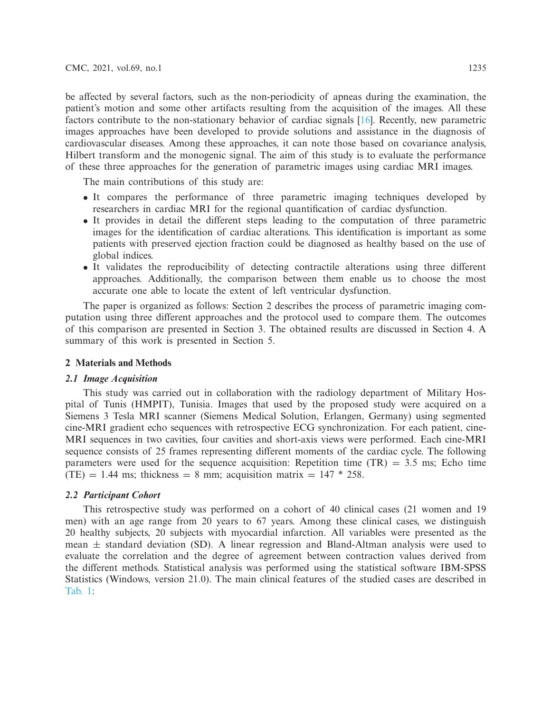be affected by several factors, such as the non-periodicity of apneas during the examination, the patient's motion and some other artifacts resulting from the acquisition of the images. All these factors contribute to the non-stationary behavior of cardiac signals [\[16](#page-17-3)]. Recently, new parametric images approaches have been developed to provide solutions and assistance in the diagnosis of cardiovascular diseases. Among these approaches, it can note those based on covariance analysis, Hilbert transform and the monogenic signal. The aim of this study is to evaluate the performance of these three approaches for the generation of parametric images using cardiac MRI images.

The main contributions of this study are:

- It compares the performance of three parametric imaging techniques developed by researchers in cardiac MRI for the regional quantification of cardiac dysfunction.
- It provides in detail the different steps leading to the computation of three parametric images for the identification of cardiac alterations. This identification is important as some patients with preserved ejection fraction could be diagnosed as healthy based on the use of global indices.
- It validates the reproducibility of detecting contractile alterations using three different approaches. Additionally, the comparison between them enable us to choose the most accurate one able to locate the extent of left ventricular dysfunction.

The paper is organized as follows: Section 2 describes the process of parametric imaging computation using three different approaches and the protocol used to compare them. The outcomes of this comparison are presented in Section 3. The obtained results are discussed in Section 4. A summary of this work is presented in Section 5.

#### **2 Materials and Methods**

### *2.1 Image Acquisition*

This study was carried out in collaboration with the radiology department of Military Hospital of Tunis (HMPIT), Tunisia. Images that used by the proposed study were acquired on a Siemens 3 Tesla MRI scanner (Siemens Medical Solution, Erlangen, Germany) using segmented cine-MRI gradient echo sequences with retrospective ECG synchronization. For each patient, cine-MRI sequences in two cavities, four cavities and short-axis views were performed. Each cine-MRI sequence consists of 25 frames representing different moments of the cardiac cycle. The following parameters were used for the sequence acquisition: Repetition time  $(TR) = 3.5$  ms; Echo time  $(TE) = 1.44$  ms; thickness = 8 mm; acquisition matrix =  $147 * 258$ .

# *2.2 Participant Cohort*

This retrospective study was performed on a cohort of 40 clinical cases (21 women and 19 men) with an age range from 20 years to 67 years. Among these clinical cases, we distinguish 20 healthy subjects, 20 subjects with myocardial infarction. All variables were presented as the mean  $\pm$  standard deviation (SD). A linear regression and Bland-Altman analysis were used to evaluate the correlation and the degree of agreement between contraction values derived from the different methods. Statistical analysis was performed using the statistical software IBM-SPSS Statistics (Windows, version 21.0). The main clinical features of the studied cases are described in [Tab. 1:](#page-3-0)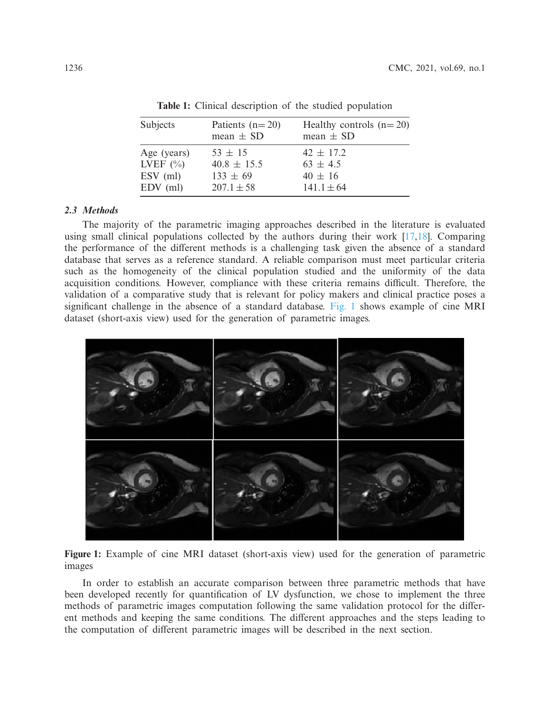<span id="page-3-0"></span>

| Subjects     | Patients $(n=20)$<br>mean $\pm$ SD | Healthy controls $(n=20)$<br>mean $\pm$ SD |
|--------------|------------------------------------|--------------------------------------------|
| Age (years)  | $53 \pm 15$                        | $42 \pm 17.2$                              |
| LVEF $(\% )$ | $40.8 \pm 15.5$                    | $63 \pm 4.5$                               |
| $ESV$ (ml)   | $133 \pm 69$                       | $40 \pm 16$                                |
| $EDV$ (ml)   | $207.1 \pm 58$                     | $141.1 \pm 64$                             |

**Table 1:** Clinical description of the studied population

## *2.3 Methods*

The majority of the parametric imaging approaches described in the literature is evaluated using small clinical populations collected by the authors during their work  $[17,18]$  $[17,18]$ . Comparing the performance of the different methods is a challenging task given the absence of a standard database that serves as a reference standard. A reliable comparison must meet particular criteria such as the homogeneity of the clinical population studied and the uniformity of the data acquisition conditions. However, compliance with these criteria remains difficult. Therefore, the validation of a comparative study that is relevant for policy makers and clinical practice poses a significant challenge in the absence of a standard database. [Fig. 1](#page-3-1) shows example of cine MRI dataset (short-axis view) used for the generation of parametric images.



<span id="page-3-1"></span>**Figure 1:** Example of cine MRI dataset (short-axis view) used for the generation of parametric images

In order to establish an accurate comparison between three parametric methods that have been developed recently for quantification of LV dysfunction, we chose to implement the three methods of parametric images computation following the same validation protocol for the different methods and keeping the same conditions. The different approaches and the steps leading to the computation of different parametric images will be described in the next section.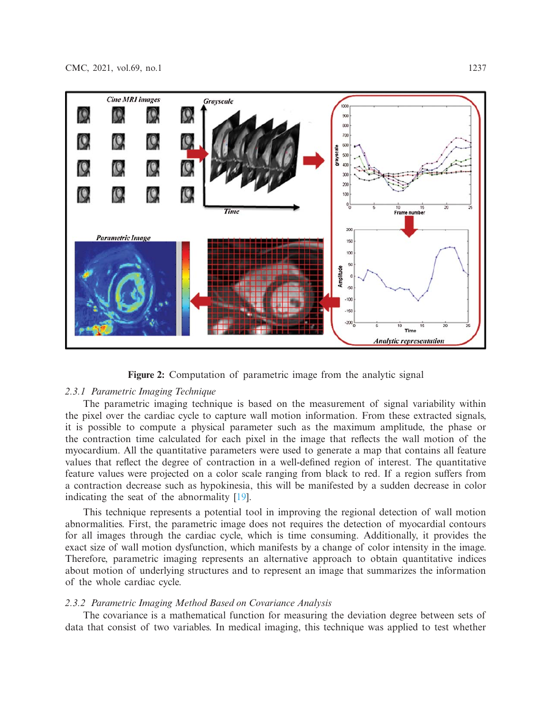

<span id="page-4-0"></span>**Figure 2:** Computation of parametric image from the analytic signal

# *2.3.1 Parametric Imaging Technique*

The parametric imaging technique is based on the measurement of signal variability within the pixel over the cardiac cycle to capture wall motion information. From these extracted signals, it is possible to compute a physical parameter such as the maximum amplitude, the phase or the contraction time calculated for each pixel in the image that reflects the wall motion of the myocardium. All the quantitative parameters were used to generate a map that contains all feature values that reflect the degree of contraction in a well-defined region of interest. The quantitative feature values were projected on a color scale ranging from black to red. If a region suffers from a contraction decrease such as hypokinesia, this will be manifested by a sudden decrease in color indicating the seat of the abnormality [\[19\]](#page-17-6).

This technique represents a potential tool in improving the regional detection of wall motion abnormalities. First, the parametric image does not requires the detection of myocardial contours for all images through the cardiac cycle, which is time consuming. Additionally, it provides the exact size of wall motion dysfunction, which manifests by a change of color intensity in the image. Therefore, parametric imaging represents an alternative approach to obtain quantitative indices about motion of underlying structures and to represent an image that summarizes the information of the whole cardiac cycle.

# *2.3.2 Parametric Imaging Method Based on Covariance Analysis*

The covariance is a mathematical function for measuring the deviation degree between sets of data that consist of two variables. In medical imaging, this technique was applied to test whether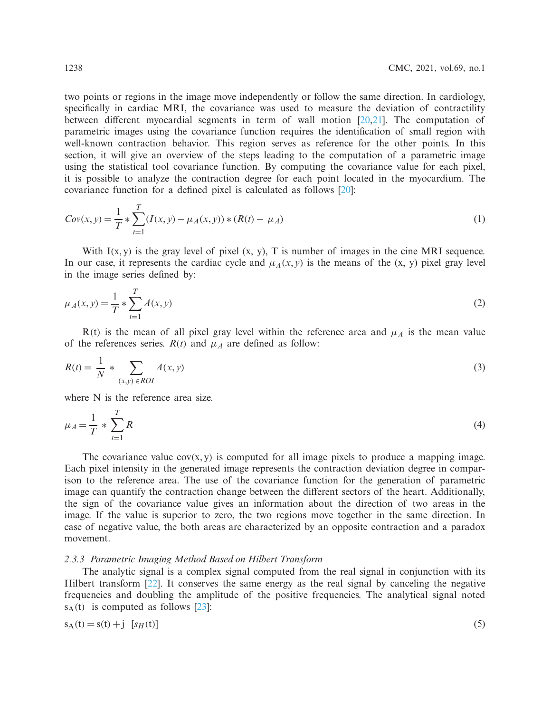two points or regions in the image move independently or follow the same direction. In cardiology, specifically in cardiac MRI, the covariance was used to measure the deviation of contractility between different myocardial segments in term of wall motion  $[20,21]$  $[20,21]$  $[20,21]$ . The computation of parametric images using the covariance function requires the identification of small region with well-known contraction behavior. This region serves as reference for the other points. In this section, it will give an overview of the steps leading to the computation of a parametric image using the statistical tool covariance function. By computing the covariance value for each pixel, it is possible to analyze the contraction degree for each point located in the myocardium. The covariance function for a defined pixel is calculated as follows [\[20\]](#page-17-7):

$$
Cov(x, y) = \frac{1}{T} * \sum_{t=1}^{T} (I(x, y) - \mu_A(x, y)) * (R(t) - \mu_A)
$$
\n(1)

With  $I(x, y)$  is the gray level of pixel  $(x, y)$ , T is number of images in the cine MRI sequence. In our case, it represents the cardiac cycle and  $\mu_A(x, y)$  is the means of the (x, y) pixel gray level in the image series defined by:

$$
\mu_A(x, y) = \frac{1}{T} * \sum_{t=1}^{T} A(x, y)
$$
\n(2)

 $R(t)$  is the mean of all pixel gray level within the reference area and  $\mu_A$  is the mean value of the references series.  $R(t)$  and  $\mu_A$  are defined as follow:

$$
R(t) = \frac{1}{N} * \sum_{(x,y) \in ROI} A(x,y)
$$
\n
$$
(3)
$$

where N is the reference area size.

$$
\mu_A = \frac{1}{T} * \sum_{t=1}^{T} R
$$
\n(4)

The covariance value  $cov(x, y)$  is computed for all image pixels to produce a mapping image. Each pixel intensity in the generated image represents the contraction deviation degree in comparison to the reference area. The use of the covariance function for the generation of parametric image can quantify the contraction change between the different sectors of the heart. Additionally, the sign of the covariance value gives an information about the direction of two areas in the image. If the value is superior to zero, the two regions move together in the same direction. In case of negative value, the both areas are characterized by an opposite contraction and a paradox movement.

#### *2.3.3 Parametric Imaging Method Based on Hilbert Transform*

The analytic signal is a complex signal computed from the real signal in conjunction with its Hilbert transform [\[22\]](#page-17-9). It conserves the same energy as the real signal by canceling the negative frequencies and doubling the amplitude of the positive frequencies. The analytical signal noted  $s_A(t)$  is computed as follows [\[23\]](#page-17-10):

$$
s_A(t) = s(t) + j \quad [s_H(t)] \tag{5}
$$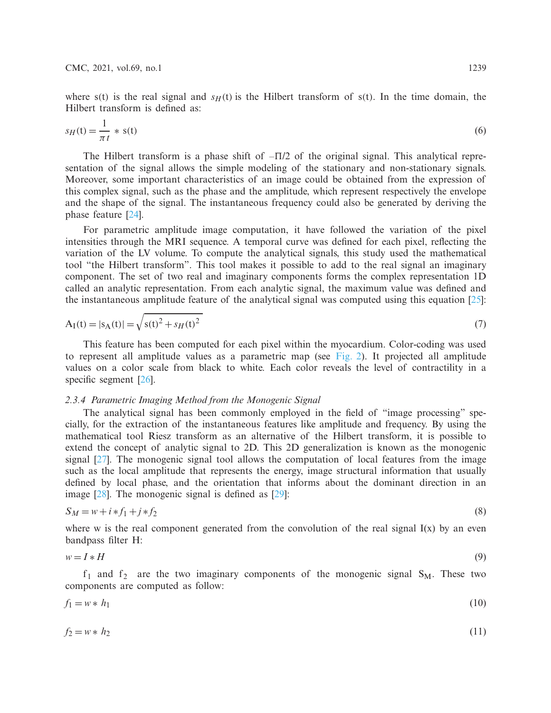where s(t) is the real signal and  $s_H(t)$  is the Hilbert transform of s(t). In the time domain, the Hilbert transform is defined as:

$$
s_H(t) = \frac{1}{\pi t} * s(t) \tag{6}
$$

The Hilbert transform is a phase shift of  $-\Pi/2$  of the original signal. This analytical representation of the signal allows the simple modeling of the stationary and non-stationary signals. Moreover, some important characteristics of an image could be obtained from the expression of this complex signal, such as the phase and the amplitude, which represent respectively the envelope and the shape of the signal. The instantaneous frequency could also be generated by deriving the phase feature [\[24](#page-17-11)].

For parametric amplitude image computation, it have followed the variation of the pixel intensities through the MRI sequence. A temporal curve was defined for each pixel, reflecting the variation of the LV volume. To compute the analytical signals, this study used the mathematical tool "the Hilbert transform". This tool makes it possible to add to the real signal an imaginary component. The set of two real and imaginary components forms the complex representation 1D called an analytic representation. From each analytic signal, the maximum value was defined and the instantaneous amplitude feature of the analytical signal was computed using this equation  $[25]$ :

$$
A_{I}(t) = |s_{A}(t)| = \sqrt{s(t)^{2} + s_{H}(t)^{2}}
$$
\n(7)

This feature has been computed for each pixel within the myocardium. Color-coding was used to represent all amplitude values as a parametric map (see [Fig. 2\)](#page-4-0). It projected all amplitude values on a color scale from black to white. Each color reveals the level of contractility in a specific segment [\[26](#page-17-13)].

# *2.3.4 Parametric Imaging Method from the Monogenic Signal*

The analytical signal has been commonly employed in the field of "image processing" specially, for the extraction of the instantaneous features like amplitude and frequency. By using the mathematical tool Riesz transform as an alternative of the Hilbert transform, it is possible to extend the concept of analytic signal to 2D. This 2D generalization is known as the monogenic signal [\[27\]](#page-17-14). The monogenic signal tool allows the computation of local features from the image such as the local amplitude that represents the energy, image structural information that usually defined by local phase, and the orientation that informs about the dominant direction in an image [\[28\]](#page-17-15). The monogenic signal is defined as [\[29\]](#page-17-16):

$$
S_M = w + i * f_1 + j * f_2 \tag{8}
$$

where w is the real component generated from the convolution of the real signal  $I(x)$  by an even bandpass filter H:

$$
w = I * H \tag{9}
$$

 $f_1$  and  $f_2$  are the two imaginary components of the monogenic signal  $S_M$ . These two components are computed as follow:

$$
f_1 = w * h_1 \tag{10}
$$

$$
f_2 = w * h_2 \tag{11}
$$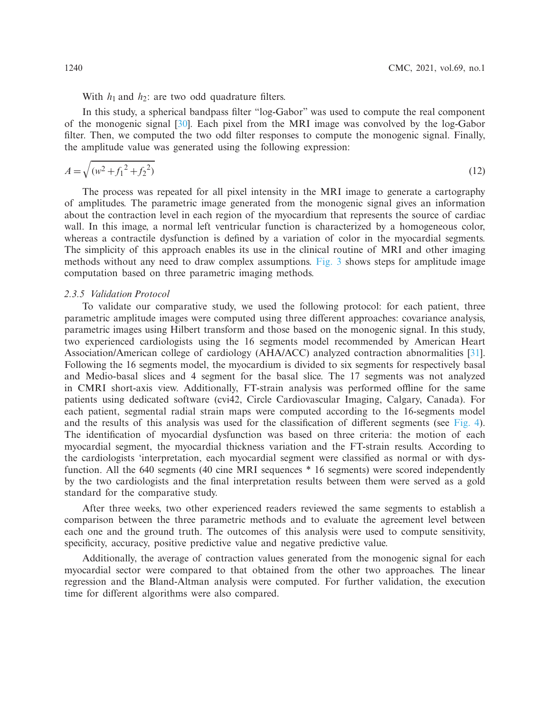With  $h_1$  and  $h_2$ : are two odd quadrature filters.

In this study, a spherical bandpass filter "log-Gabor" was used to compute the real component of the monogenic signal [\[30](#page-18-0)]. Each pixel from the MRI image was convolved by the log-Gabor filter. Then, we computed the two odd filter responses to compute the monogenic signal. Finally, the amplitude value was generated using the following expression:

$$
A = \sqrt{(w^2 + f_1^2 + f_2^2)}
$$
\n(12)

The process was repeated for all pixel intensity in the MRI image to generate a cartography of amplitudes. The parametric image generated from the monogenic signal gives an information about the contraction level in each region of the myocardium that represents the source of cardiac wall. In this image, a normal left ventricular function is characterized by a homogeneous color, whereas a contractile dysfunction is defined by a variation of color in the myocardial segments. The simplicity of this approach enables its use in the clinical routine of MRI and other imaging methods without any need to draw complex assumptions. [Fig. 3](#page-8-0) shows steps for amplitude image computation based on three parametric imaging methods.

# *2.3.5 Validation Protocol*

To validate our comparative study, we used the following protocol: for each patient, three parametric amplitude images were computed using three different approaches: covariance analysis, parametric images using Hilbert transform and those based on the monogenic signal. In this study, two experienced cardiologists using the 16 segments model recommended by American Heart Association/American college of cardiology (AHA/ACC) analyzed contraction abnormalities [\[31\]](#page-18-1). Following the 16 segments model, the myocardium is divided to six segments for respectively basal and Medio-basal slices and 4 segment for the basal slice. The 17 segments was not analyzed in CMRI short-axis view. Additionally, FT-strain analysis was performed offline for the same patients using dedicated software (cvi42, Circle Cardiovascular Imaging, Calgary, Canada). For each patient, segmental radial strain maps were computed according to the 16-segments model and the results of this analysis was used for the classification of different segments (see [Fig. 4\)](#page-9-0). The identification of myocardial dysfunction was based on three criteria: the motion of each myocardial segment, the myocardial thickness variation and the FT-strain results. According to the cardiologists 'interpretation, each myocardial segment were classified as normal or with dysfunction. All the 640 segments (40 cine MRI sequences \* 16 segments) were scored independently by the two cardiologists and the final interpretation results between them were served as a gold standard for the comparative study.

After three weeks, two other experienced readers reviewed the same segments to establish a comparison between the three parametric methods and to evaluate the agreement level between each one and the ground truth. The outcomes of this analysis were used to compute sensitivity, specificity, accuracy, positive predictive value and negative predictive value.

Additionally, the average of contraction values generated from the monogenic signal for each myocardial sector were compared to that obtained from the other two approaches. The linear regression and the Bland-Altman analysis were computed. For further validation, the execution time for different algorithms were also compared.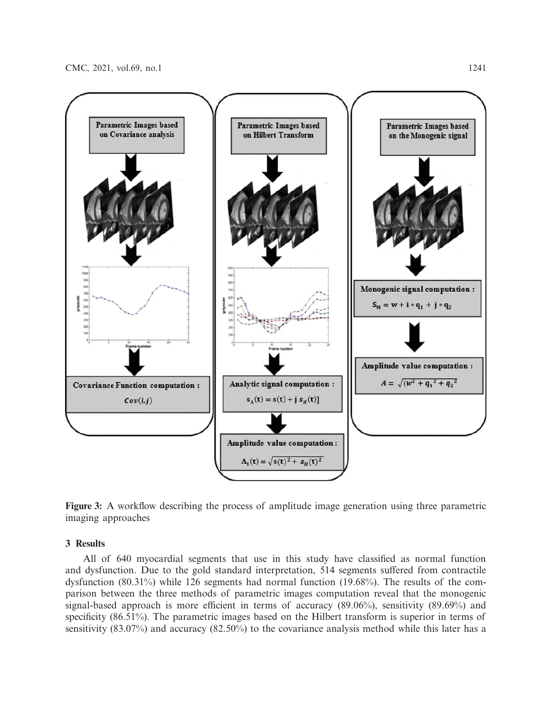

<span id="page-8-0"></span>**Figure 3:** A workflow describing the process of amplitude image generation using three parametric imaging approaches

### **3 Results**

All of 640 myocardial segments that use in this study have classified as normal function and dysfunction. Due to the gold standard interpretation, 514 segments suffered from contractile dysfunction (80.31%) while 126 segments had normal function (19.68%). The results of the comparison between the three methods of parametric images computation reveal that the monogenic signal-based approach is more efficient in terms of accuracy (89.06%), sensitivity (89.69%) and specificity (86.51%). The parametric images based on the Hilbert transform is superior in terms of sensitivity (83.07%) and accuracy (82.50%) to the covariance analysis method while this later has a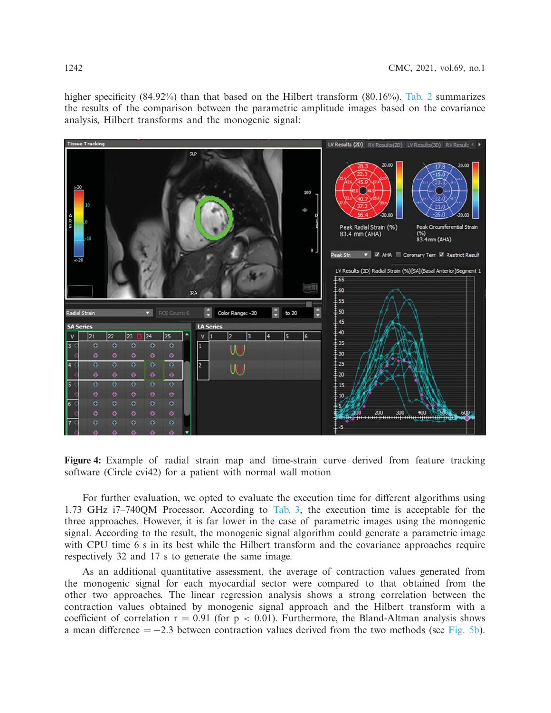higher specificity (84.92%) than that based on the Hilbert transform (80.16%). [Tab. 2](#page-10-0) summarizes the results of the comparison between the parametric amplitude images based on the covariance analysis, Hilbert transforms and the monogenic signal:



<span id="page-9-0"></span>**Figure 4:** Example of radial strain map and time-strain curve derived from feature tracking software (Circle cvi42) for a patient with normal wall motion

For further evaluation, we opted to evaluate the execution time for different algorithms using 1.73 GHz i7–740QM Processor. According to [Tab. 3,](#page-10-1) the execution time is acceptable for the three approaches. However, it is far lower in the case of parametric images using the monogenic signal. According to the result, the monogenic signal algorithm could generate a parametric image with CPU time 6 s in its best while the Hilbert transform and the covariance approaches require respectively 32 and 17 s to generate the same image.

As an additional quantitative assessment, the average of contraction values generated from the monogenic signal for each myocardial sector were compared to that obtained from the other two approaches. The linear regression analysis shows a strong correlation between the contraction values obtained by monogenic signal approach and the Hilbert transform with a coefficient of correlation  $r = 0.91$  (for  $p < 0.01$ ). Furthermore, the Bland-Altman analysis shows a mean difference  $= -2.3$  between contraction values derived from the two methods (see [Fig. 5b\)](#page-11-0).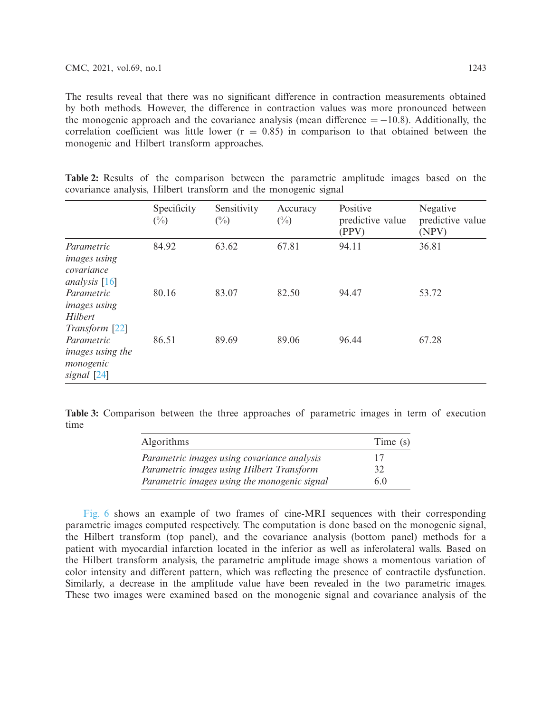The results reveal that there was no significant difference in contraction measurements obtained by both methods. However, the difference in contraction values was more pronounced between the monogenic approach and the covariance analysis (mean difference  $= -10.8$ ). Additionally, the correlation coefficient was little lower  $(r = 0.85)$  in comparison to that obtained between the monogenic and Hilbert transform approaches.

|                                                                    | Specificity<br>$(\%)$ | Sensitivity<br>$(\%)$ | Accuracy<br>$\binom{0}{0}$ | Positive<br>predictive value<br>(PPV) | Negative<br>predictive value<br>(NPV) |
|--------------------------------------------------------------------|-----------------------|-----------------------|----------------------------|---------------------------------------|---------------------------------------|
| Parametric<br><i>images using</i><br>covariance<br>analysis $[16]$ | 84.92                 | 63.62                 | 67.81                      | 94.11                                 | 36.81                                 |
| Parametric<br><i>images using</i><br>Hilbert<br>Transform [22]     | 80.16                 | 83.07                 | 82.50                      | 94.47                                 | 53.72                                 |
| Parametric<br>images using the<br>monogenic<br>signal [24]         | 86.51                 | 89.69                 | 89.06                      | 96.44                                 | 67.28                                 |

<span id="page-10-0"></span>**Table 2:** Results of the comparison between the parametric amplitude images based on the covariance analysis, Hilbert transform and the monogenic signal

<span id="page-10-1"></span>**Table 3:** Comparison between the three approaches of parametric images in term of execution time

| Algorithms                                   | Time (s) |
|----------------------------------------------|----------|
| Parametric images using covariance analysis  | 17       |
| Parametric images using Hilbert Transform    | 32       |
| Parametric images using the monogenic signal | 60       |

[Fig. 6](#page-12-0) shows an example of two frames of cine-MRI sequences with their corresponding parametric images computed respectively. The computation is done based on the monogenic signal, the Hilbert transform (top panel), and the covariance analysis (bottom panel) methods for a patient with myocardial infarction located in the inferior as well as inferolateral walls. Based on the Hilbert transform analysis, the parametric amplitude image shows a momentous variation of color intensity and different pattern, which was reflecting the presence of contractile dysfunction. Similarly, a decrease in the amplitude value have been revealed in the two parametric images. These two images were examined based on the monogenic signal and covariance analysis of the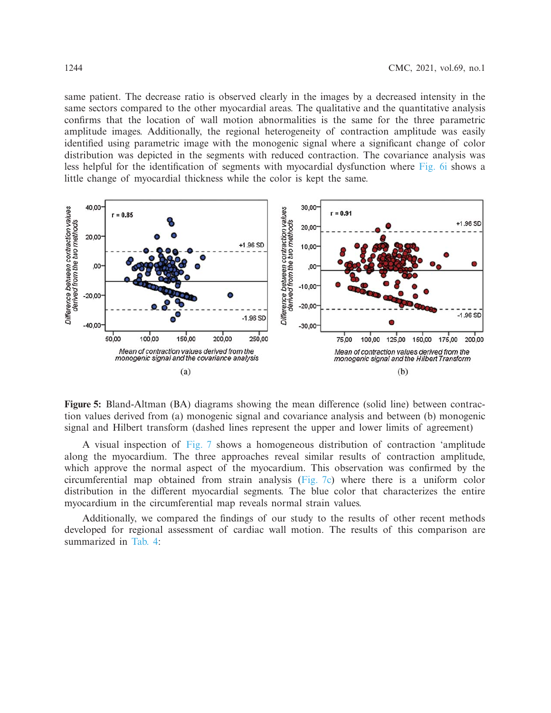same patient. The decrease ratio is observed clearly in the images by a decreased intensity in the same sectors compared to the other myocardial areas. The qualitative and the quantitative analysis confirms that the location of wall motion abnormalities is the same for the three parametric amplitude images. Additionally, the regional heterogeneity of contraction amplitude was easily identified using parametric image with the monogenic signal where a significant change of color distribution was depicted in the segments with reduced contraction. The covariance analysis was less helpful for the identification of segments with myocardial dysfunction where [Fig. 6i](#page-12-0) shows a little change of myocardial thickness while the color is kept the same.



<span id="page-11-0"></span>**Figure 5:** Bland-Altman (BA) diagrams showing the mean difference (solid line) between contraction values derived from (a) monogenic signal and covariance analysis and between (b) monogenic signal and Hilbert transform (dashed lines represent the upper and lower limits of agreement)

A visual inspection of [Fig. 7](#page-13-0) shows a homogeneous distribution of contraction 'amplitude along the myocardium. The three approaches reveal similar results of contraction amplitude, which approve the normal aspect of the myocardium. This observation was confirmed by the circumferential map obtained from strain analysis (Fig.  $7c$ ) where there is a uniform color distribution in the different myocardial segments. The blue color that characterizes the entire myocardium in the circumferential map reveals normal strain values.

Additionally, we compared the findings of our study to the results of other recent methods developed for regional assessment of cardiac wall motion. The results of this comparison are summarized in [Tab. 4:](#page-13-1)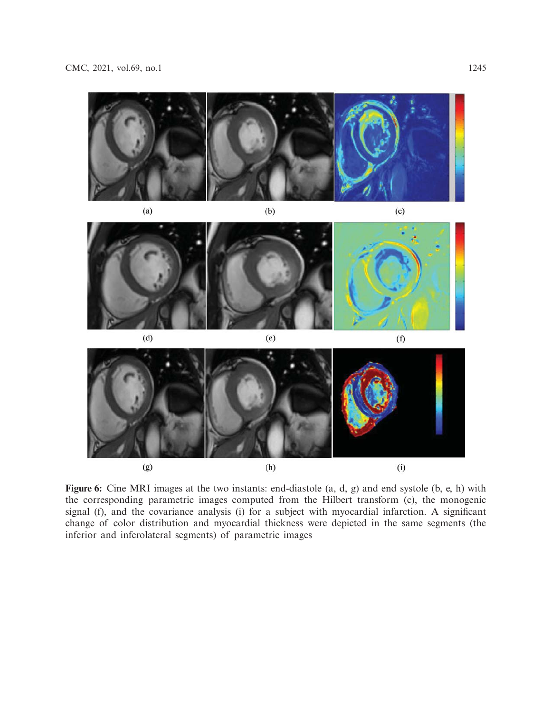

<span id="page-12-0"></span>**Figure 6:** Cine MRI images at the two instants: end-diastole (a, d, g) and end systole (b, e, h) with the corresponding parametric images computed from the Hilbert transform (c), the monogenic signal (f), and the covariance analysis (i) for a subject with myocardial infarction. A significant change of color distribution and myocardial thickness were depicted in the same segments (the inferior and inferolateral segments) of parametric images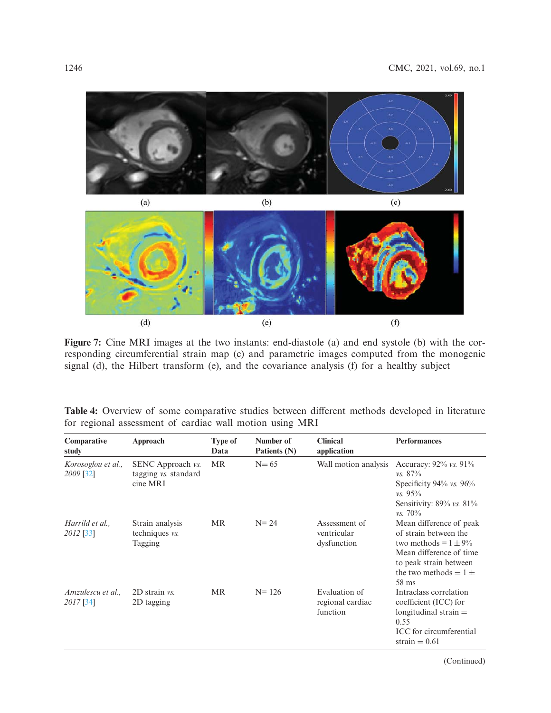

**Figure 7:** Cine MRI images at the two instants: end-diastole (a) and end systole (b) with the corresponding circumferential strain map (c) and parametric images computed from the monogenic signal (d), the Hilbert transform (e), and the covariance analysis (f) for a healthy subject

<span id="page-13-1"></span>

|                                                          |  |  |  |  | <b>Table 4:</b> Overview of some comparative studies between different methods developed in literature |  |
|----------------------------------------------------------|--|--|--|--|--------------------------------------------------------------------------------------------------------|--|
| for regional assessment of cardiac wall motion using MRI |  |  |  |  |                                                                                                        |  |

| Comparative<br>study            | Approach                                                            | <b>Type of</b><br>Data | Number of<br>Patients (N) | <b>Clinical</b><br>application                | <b>Performances</b>                                                                                                                                                      |
|---------------------------------|---------------------------------------------------------------------|------------------------|---------------------------|-----------------------------------------------|--------------------------------------------------------------------------------------------------------------------------------------------------------------------------|
| Korosoglou et al.,<br>2009 [32] | SENC Approach <i>vs.</i><br>tagging <i>vs.</i> standard<br>cine MRI | <b>MR</b>              | $N=65$                    | Wall motion analysis                          | Accuracy: $92\%$ vs. $91\%$<br>$\nu s. 87\%$<br>Specificity $94\%$ vs. $96\%$<br>$vs. 95\%$<br>Sensitivity: 89% vs. 81%<br>$\nu s. 70\%$                                 |
| Harrild et al<br>2012 [33]      | Strain analysis<br>techniques <i>vs.</i><br>Tagging                 | <b>MR</b>              | $N = 24$                  | Assessment of<br>ventricular<br>dysfunction   | Mean difference of peak<br>of strain between the<br>two methods = $1 \pm 9\%$<br>Mean difference of time<br>to peak strain between<br>the two methods $= 1 \pm$<br>58 ms |
| Amzulescu et al.,<br>2017 [34]  | $2D$ strain $vs.$<br>2D tagging                                     | <b>MR</b>              | $N = 126$                 | Evaluation of<br>regional cardiac<br>function | Intraclass correlation<br>coefficient (ICC) for<br>longitudinal strain $=$<br>0.55<br>ICC for circumferential<br>strain $= 0.61$                                         |

<span id="page-13-0"></span>(Continued)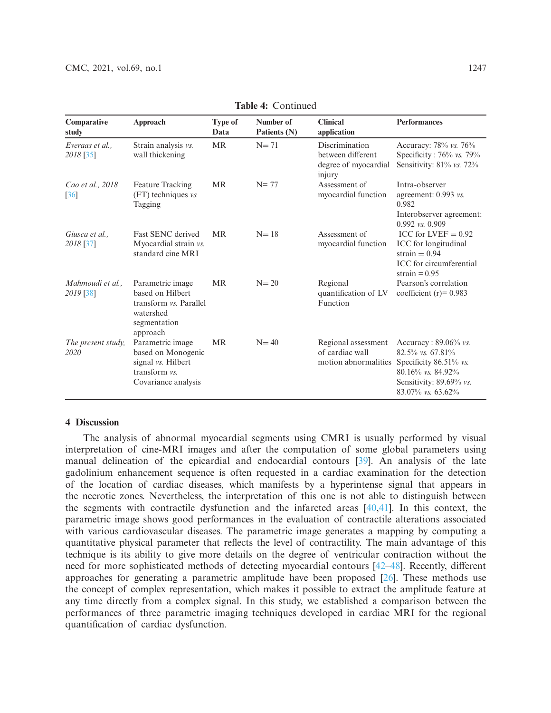| Comparative<br>study                                                 | Approach                                                                                                | Type of<br>Data | Number of<br>Patients (N) | <b>Clinical</b><br>application                                               | <b>Performances</b>                                                                                                                              |
|----------------------------------------------------------------------|---------------------------------------------------------------------------------------------------------|-----------------|---------------------------|------------------------------------------------------------------------------|--------------------------------------------------------------------------------------------------------------------------------------------------|
| Strain analysis vs.<br>Everaas et al<br>wall thickening<br>2018 [35] |                                                                                                         | <b>MR</b>       | $N=71$                    | <b>Discrimination</b><br>between different<br>degree of myocardial<br>injury | Accuracy: 78% vs. 76%<br>Specificity: 76% vs. 79%<br>Sensitivity: $81\%$ vs. 72%                                                                 |
| Cao et al., 2018<br>$[36]$                                           | Feature Tracking<br>(FT) techniques vs.<br>Tagging                                                      | <b>MR</b>       | $N = 77$                  | Assessment of<br>myocardial function                                         | Intra-observer<br>agreement: 0.993 vs.<br>0.982<br>Interobserver agreement:<br>0.992 vs. 0.909                                                   |
| Giusca et al<br>2018 [37]                                            | Fast SENC derived<br>Myocardial strain vs.<br>standard cine MRI                                         | <b>MR</b>       | $N=18$                    | Assessment of<br>myocardial function                                         | ICC for LVEF $= 0.92$<br>ICC for longitudinal<br>strain $= 0.94$<br>ICC for circumferential<br>strain $= 0.95$                                   |
| Mahmoudi et al.,<br>2019 [38]                                        | Parametric image<br>based on Hilbert<br>transform vs. Parallel<br>watershed<br>segmentation<br>approach | <b>MR</b>       | $N=20$                    | Regional<br>quantification of LV<br>Function                                 | Pearson's correlation<br>coefficient $(r) = 0.983$                                                                                               |
| The present study,<br>2020                                           | Parametric image<br>based on Monogenic<br>signal vs. Hilbert<br>transform vs.<br>Covariance analysis    | <b>MR</b>       | $N=40$                    | Regional assessment<br>of cardiac wall<br>motion abnormalities               | Accuracy: $89.06\%$ vs.<br>$82.5\%$ vs. 67.81%<br>Specificity 86.51% vs.<br>80.16% vs. 84.92%<br>Sensitivity: 89.69% vs.<br>$83.07\%$ vs. 63.62% |

**Table 4:** Continued

# **4 Discussion**

The analysis of abnormal myocardial segments using CMRI is usually performed by visual interpretation of cine-MRI images and after the computation of some global parameters using manual delineation of the epicardial and endocardial contours [\[39](#page-18-9)]. An analysis of the late gadolinium enhancement sequence is often requested in a cardiac examination for the detection of the location of cardiac diseases, which manifests by a hyperintense signal that appears in the necrotic zones. Nevertheless, the interpretation of this one is not able to distinguish between the segments with contractile dysfunction and the infarcted areas [\[40](#page-18-10)[,41](#page-18-11)]. In this context, the parametric image shows good performances in the evaluation of contractile alterations associated with various cardiovascular diseases. The parametric image generates a mapping by computing a quantitative physical parameter that reflects the level of contractility. The main advantage of this technique is its ability to give more details on the degree of ventricular contraction without the need for more sophisticated methods of detecting myocardial contours [\[42](#page-18-12)[–48\]](#page-19-0). Recently, different approaches for generating a parametric amplitude have been proposed [\[26\]](#page-17-13). These methods use the concept of complex representation, which makes it possible to extract the amplitude feature at any time directly from a complex signal. In this study, we established a comparison between the performances of three parametric imaging techniques developed in cardiac MRI for the regional quantification of cardiac dysfunction.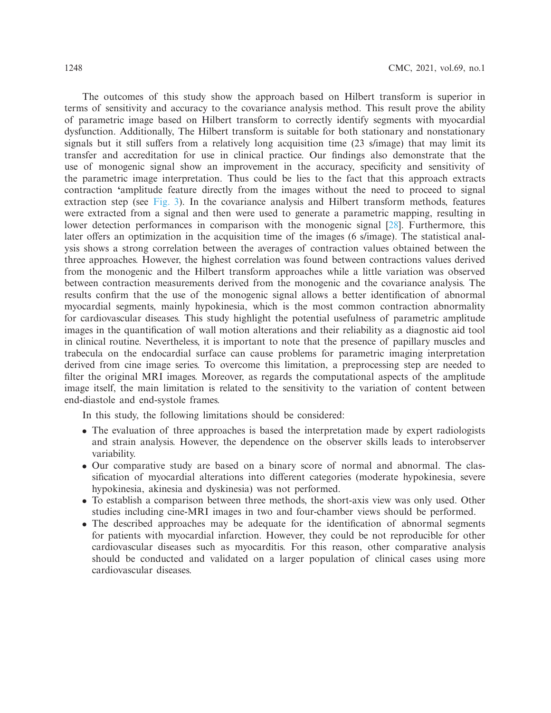The outcomes of this study show the approach based on Hilbert transform is superior in terms of sensitivity and accuracy to the covariance analysis method. This result prove the ability of parametric image based on Hilbert transform to correctly identify segments with myocardial dysfunction. Additionally, The Hilbert transform is suitable for both stationary and nonstationary signals but it still suffers from a relatively long acquisition time (23 s/image) that may limit its transfer and accreditation for use in clinical practice. Our findings also demonstrate that the use of monogenic signal show an improvement in the accuracy, specificity and sensitivity of the parametric image interpretation. Thus could be lies to the fact that this approach extracts contraction **'**amplitude feature directly from the images without the need to proceed to signal extraction step (see [Fig. 3\)](#page-8-0). In the covariance analysis and Hilbert transform methods, features were extracted from a signal and then were used to generate a parametric mapping, resulting in lower detection performances in comparison with the monogenic signal [\[28\]](#page-17-15). Furthermore, this later offers an optimization in the acquisition time of the images (6 s/image). The statistical analysis shows a strong correlation between the averages of contraction values obtained between the three approaches. However, the highest correlation was found between contractions values derived from the monogenic and the Hilbert transform approaches while a little variation was observed between contraction measurements derived from the monogenic and the covariance analysis. The results confirm that the use of the monogenic signal allows a better identification of abnormal myocardial segments, mainly hypokinesia, which is the most common contraction abnormality for cardiovascular diseases. This study highlight the potential usefulness of parametric amplitude images in the quantification of wall motion alterations and their reliability as a diagnostic aid tool in clinical routine. Nevertheless, it is important to note that the presence of papillary muscles and trabecula on the endocardial surface can cause problems for parametric imaging interpretation derived from cine image series. To overcome this limitation, a preprocessing step are needed to filter the original MRI images. Moreover, as regards the computational aspects of the amplitude image itself, the main limitation is related to the sensitivity to the variation of content between end-diastole and end-systole frames.

In this study, the following limitations should be considered:

- The evaluation of three approaches is based the interpretation made by expert radiologists and strain analysis. However, the dependence on the observer skills leads to interobserver variability.
- Our comparative study are based on a binary score of normal and abnormal. The classification of myocardial alterations into different categories (moderate hypokinesia, severe hypokinesia, akinesia and dyskinesia) was not performed.
- To establish a comparison between three methods, the short-axis view was only used. Other studies including cine-MRI images in two and four-chamber views should be performed.
- The described approaches may be adequate for the identification of abnormal segments for patients with myocardial infarction. However, they could be not reproducible for other cardiovascular diseases such as myocarditis. For this reason, other comparative analysis should be conducted and validated on a larger population of clinical cases using more cardiovascular diseases.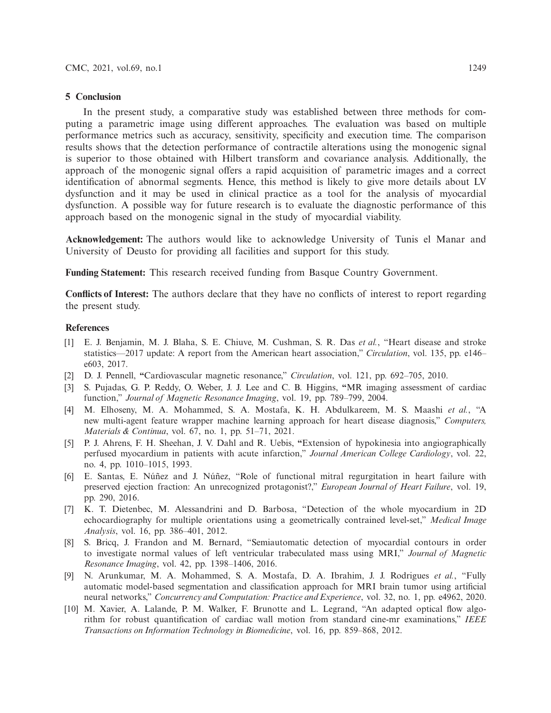## **5 Conclusion**

In the present study, a comparative study was established between three methods for computing a parametric image using different approaches. The evaluation was based on multiple performance metrics such as accuracy, sensitivity, specificity and execution time. The comparison results shows that the detection performance of contractile alterations using the monogenic signal is superior to those obtained with Hilbert transform and covariance analysis. Additionally, the approach of the monogenic signal offers a rapid acquisition of parametric images and a correct identification of abnormal segments. Hence, this method is likely to give more details about LV dysfunction and it may be used in clinical practice as a tool for the analysis of myocardial dysfunction. A possible way for future research is to evaluate the diagnostic performance of this approach based on the monogenic signal in the study of myocardial viability.

**Acknowledgement:** The authors would like to acknowledge University of Tunis el Manar and University of Deusto for providing all facilities and support for this study.

**Funding Statement:** This research received funding from Basque Country Government.

**Conflicts of Interest:** The authors declare that they have no conflicts of interest to report regarding the present study.

#### **References**

- <span id="page-16-0"></span>[1] E. J. Benjamin, M. J. Blaha, S. E. Chiuve, M. Cushman, S. R. Das *et al.*, "Heart disease and stroke statistics—2017 update: A report from the American heart association," *Circulation*, vol. 135, pp. e146– e603, 2017.
- <span id="page-16-1"></span>[2] D. J. Pennell, **"**Cardiovascular magnetic resonance," *Circulation*, vol. 121, pp. 692–705, 2010.
- <span id="page-16-2"></span>[3] S. Pujadas, G. P. Reddy, O. Weber, J. J. Lee and C. B. Higgins, **"**MR imaging assessment of cardiac function," *Journal of Magnetic Resonance Imaging*, vol. 19, pp. 789–799, 2004.
- <span id="page-16-3"></span>[4] M. Elhoseny, M. A. Mohammed, S. A. Mostafa, K. H. Abdulkareem, M. S. Maashi *et al.*, "A new multi-agent feature wrapper machine learning approach for heart disease diagnosis," *Computers, Materials & Continua*, vol. 67, no. 1, pp. 51–71, 2021.
- <span id="page-16-4"></span>[5] P. J. Ahrens, F. H. Sheehan, J. V. Dahl and R. Uebis, **"**Extension of hypokinesia into angiographically perfused myocardium in patients with acute infarction," *Journal American College Cardiology*, vol. 22, no. 4, pp. 1010–1015, 1993.
- <span id="page-16-5"></span>[6] E. Santas, E. Núñez and J. Núñez, "Role of functional mitral regurgitation in heart failure with preserved ejection fraction: An unrecognized protagonist?," *European Journal of Heart Failure*, vol. 19, pp. 290, 2016.
- <span id="page-16-6"></span>[7] K. T. Dietenbec, M. Alessandrini and D. Barbosa, "Detection of the whole myocardium in 2D echocardiography for multiple orientations using a geometrically contrained level-set," *Medical Image Analysis*, vol. 16, pp. 386–401, 2012.
- [8] S. Bricq, J. Frandon and M. Bernard, "Semiautomatic detection of myocardial contours in order to investigate normal values of left ventricular trabeculated mass using MRI," *Journal of Magnetic Resonance Imaging*, vol. 42, pp. 1398–1406, 2016.
- <span id="page-16-7"></span>[9] N. Arunkumar, M. A. Mohammed, S. A. Mostafa, D. A. Ibrahim, J. J. Rodrigues *et al.*, "Fully automatic model-based segmentation and classification approach for MRI brain tumor using artificial neural networks," *Concurrency and Computation: Practice and Experience*, vol. 32, no. 1, pp. e4962, 2020.
- <span id="page-16-8"></span>[10] M. Xavier, A. Lalande, P. M. Walker, F. Brunotte and L. Legrand, "An adapted optical flow algorithm for robust quantification of cardiac wall motion from standard cine-mr examinations," *IEEE Transactions on Information Technology in Biomedicine*, vol. 16, pp. 859–868, 2012.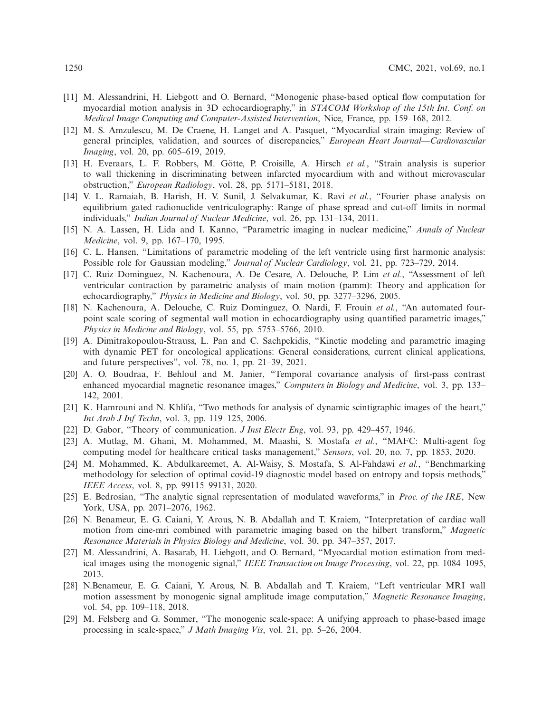- [11] M. Alessandrini, H. Liebgott and O. Bernard, "Monogenic phase-based optical flow computation for myocardial motion analysis in 3D echocardiography," in *STACOM Workshop of the 15th Int. Conf. on Medical Image Computing and Computer-Assisted Intervention*, Nice, France, pp. 159–168, 2012.
- [12] M. S. Amzulescu, M. De Craene, H. Langet and A. Pasquet, "Myocardial strain imaging: Review of general principles, validation, and sources of discrepancies," *European Heart Journal—Cardiovascular Imaging*, vol. 20, pp. 605–619, 2019.
- <span id="page-17-0"></span>[13] H. Everaars, L. F. Robbers, M. Götte, P. Croisille, A. Hirsch *et al.*, "Strain analysis is superior to wall thickening in discriminating between infarcted myocardium with and without microvascular obstruction," *European Radiology*, vol. 28, pp. 5171–5181, 2018.
- <span id="page-17-1"></span>[14] V. L. Ramaiah, B. Harish, H. V. Sunil, J. Selvakumar, K. Ravi *et al.*, "Fourier phase analysis on equilibrium gated radionuclide ventriculography: Range of phase spread and cut-off limits in normal individuals," *Indian Journal of Nuclear Medicine*, vol. 26, pp. 131–134, 2011.
- <span id="page-17-2"></span>[15] N. A. Lassen, H. Lida and I. Kanno, "Parametric imaging in nuclear medicine," *Annals of Nuclear Medicine*, vol. 9, pp. 167–170, 1995.
- <span id="page-17-3"></span>[16] C. L. Hansen, "Limitations of parametric modeling of the left ventricle using first harmonic analysis: Possible role for Gaussian modeling," *Journal of Nuclear Cardiology*, vol. 21, pp. 723–729, 2014.
- <span id="page-17-4"></span>[17] C. Ruiz Dominguez, N. Kachenoura, A. De Cesare, A. Delouche, P. Lim *et al.*, "Assessment of left ventricular contraction by parametric analysis of main motion (pamm): Theory and application for echocardiography," *Physics in Medicine and Biology*, vol. 50, pp. 3277–3296, 2005.
- <span id="page-17-5"></span>[18] N. Kachenoura, A. Delouche, C. Ruiz Dominguez, O. Nardi, F. Frouin *et al.*, "An automated fourpoint scale scoring of segmental wall motion in echocardiography using quantified parametric images," *Physics in Medicine and Biology*, vol. 55, pp. 5753–5766, 2010.
- <span id="page-17-6"></span>[19] A. Dimitrakopoulou-Strauss, L. Pan and C. Sachpekidis, "Kinetic modeling and parametric imaging with dynamic PET for oncological applications: General considerations, current clinical applications, and future perspectives", vol. 78, no. 1, pp. 21–39, 2021.
- <span id="page-17-7"></span>[20] A. O. Boudraa, F. Behloul and M. Janier, "Temporal covariance analysis of first-pass contrast enhanced myocardial magnetic resonance images," *Computers in Biology and Medicine*, vol. 3, pp. 133– 142, 2001.
- <span id="page-17-8"></span>[21] K. Hamrouni and N. Khlifa, "Two methods for analysis of dynamic scintigraphic images of the heart," *Int Arab J Inf Techn*, vol. 3, pp. 119–125, 2006.
- <span id="page-17-9"></span>[22] D. Gabor, "Theory of communication. *J Inst Electr Eng*, vol. 93, pp. 429–457, 1946.
- <span id="page-17-10"></span>[23] A. Mutlag, M. Ghani, M. Mohammed, M. Maashi, S. Mostafa *et al.*, "MAFC: Multi-agent fog computing model for healthcare critical tasks management," *Sensors*, vol. 20, no. 7, pp. 1853, 2020.
- <span id="page-17-11"></span>[24] M. Mohammed, K. Abdulkareemet, A. Al-Waisy, S. Mostafa, S. Al-Fahdawi *et al.*, "Benchmarking methodology for selection of optimal covid-19 diagnostic model based on entropy and topsis methods," *IEEE Access*, vol. 8, pp. 99115–99131, 2020.
- <span id="page-17-12"></span>[25] E. Bedrosian, "The analytic signal representation of modulated waveforms," in *Proc. of the IRE*, New York, USA, pp. 2071–2076, 1962.
- <span id="page-17-13"></span>[26] N. Benameur, E. G. Caiani, Y. Arous, N. B. Abdallah and T. Kraiem, "Interpretation of cardiac wall motion from cine-mri combined with parametric imaging based on the hilbert transform," *Magnetic Resonance Materials in Physics Biology and Medicine*, vol. 30, pp. 347–357, 2017.
- <span id="page-17-14"></span>[27] M. Alessandrini, A. Basarab, H. Liebgott, and O. Bernard, "Myocardial motion estimation from medical images using the monogenic signal," *IEEE Transaction on Image Processing*, vol. 22, pp. 1084–1095, 2013.
- <span id="page-17-15"></span>[28] N.Benameur, E. G. Caiani, Y. Arous, N. B. Abdallah and T. Kraiem, "Left ventricular MRI wall motion assessment by monogenic signal amplitude image computation," *Magnetic Resonance Imaging*, vol. 54, pp. 109–118, 2018.
- <span id="page-17-16"></span>[29] M. Felsberg and G. Sommer, "The monogenic scale-space: A unifying approach to phase-based image processing in scale-space," *J Math Imaging Vis*, vol. 21, pp. 5–26, 2004.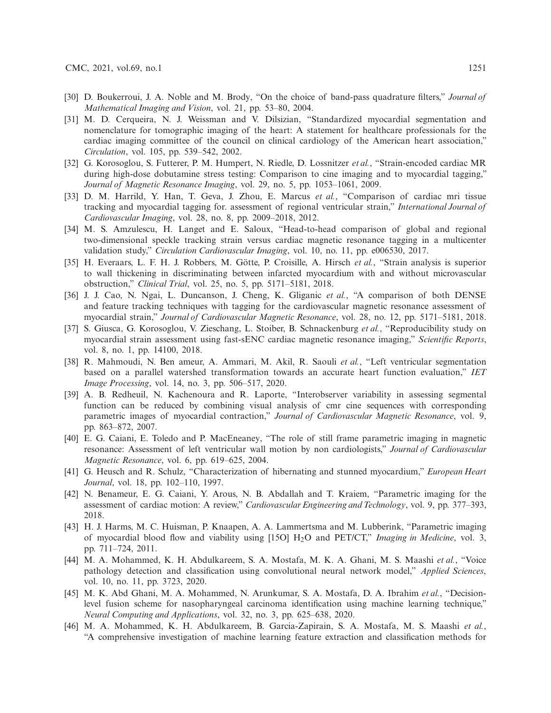- <span id="page-18-0"></span>[30] D. Boukerroui, J. A. Noble and M. Brody, "On the choice of band-pass quadrature filters," *Journal of Mathematical Imaging and Vision*, vol. 21, pp. 53–80, 2004.
- <span id="page-18-1"></span>[31] M. D. Cerqueira, N. J. Weissman and V. Dilsizian, "Standardized myocardial segmentation and nomenclature for tomographic imaging of the heart: A statement for healthcare professionals for the cardiac imaging committee of the council on clinical cardiology of the American heart association," *Circulation*, vol. 105, pp. 539–542, 2002.
- <span id="page-18-2"></span>[32] G. Korosoglou, S. Futterer, P. M. Humpert, N. Riedle, D. Lossnitzer *et al.*, "Strain-encoded cardiac MR during high-dose dobutamine stress testing: Comparison to cine imaging and to myocardial tagging," *Journal of Magnetic Resonance Imaging*, vol. 29, no. 5, pp. 1053–1061, 2009.
- <span id="page-18-3"></span>[33] D. M. Harrild, Y. Han, T. Geva, J. Zhou, E. Marcus *et al.*, "Comparison of cardiac mri tissue tracking and myocardial tagging for. assessment of regional ventricular strain," *International Journal of Cardiovascular Imaging*, vol. 28, no. 8, pp. 2009–2018, 2012.
- <span id="page-18-4"></span>[34] M. S. Amzulescu, H. Langet and E. Saloux, "Head-to-head comparison of global and regional two-dimensional speckle tracking strain versus cardiac magnetic resonance tagging in a multicenter validation study," *Circulation Cardiovascular Imaging*, vol. 10, no. 11, pp. e006530, 2017.
- <span id="page-18-5"></span>[35] H. Everaars, L. F. H. J. Robbers, M. Götte, P. Croisille, A. Hirsch *et al.*, "Strain analysis is superior to wall thickening in discriminating between infarcted myocardium with and without microvascular obstruction," *Clinical Trial*, vol. 25, no. 5, pp. 5171–5181, 2018.
- <span id="page-18-6"></span>[36] J. J. Cao, N. Ngai, L. Duncanson, J. Cheng, K. Gliganic *et al.*, "A comparison of both DENSE and feature tracking techniques with tagging for the cardiovascular magnetic resonance assessment of myocardial strain," *Journal of Cardiovascular Magnetic Resonance*, vol. 28, no. 12, pp. 5171–5181, 2018.
- <span id="page-18-7"></span>[37] S. Giusca, G. Korosoglou, V. Zieschang, L. Stoiber, B. Schnackenburg *et al.*, "Reproducibility study on myocardial strain assessment using fast-sENC cardiac magnetic resonance imaging," *Scientific Reports*, vol. 8, no. 1, pp. 14100, 2018.
- <span id="page-18-8"></span>[38] R. Mahmoudi, N. Ben ameur, A. Ammari, M. Akil, R. Saouli *et al.*, "Left ventricular segmentation based on a parallel watershed transformation towards an accurate heart function evaluation," *IET Image Processing*, vol. 14, no. 3, pp. 506–517, 2020.
- <span id="page-18-9"></span>[39] A. B. Redheuil, N. Kachenoura and R. Laporte, "Interobserver variability in assessing segmental function can be reduced by combining visual analysis of cmr cine sequences with corresponding parametric images of myocardial contraction," *Journal of Cardiovascular Magnetic Resonance*, vol. 9, pp. 863–872, 2007.
- <span id="page-18-10"></span>[40] E. G. Caiani, E. Toledo and P. MacEneaney, "The role of still frame parametric imaging in magnetic resonance: Assessment of left ventricular wall motion by non cardiologists," *Journal of Cardiovascular Magnetic Resonance*, vol. 6, pp. 619–625, 2004.
- <span id="page-18-11"></span>[41] G. Heusch and R. Schulz, "Characterization of hibernating and stunned myocardium," *European Heart Journal*, vol. 18, pp. 102–110, 1997.
- <span id="page-18-12"></span>[42] N. Benameur, E. G. Caiani, Y. Arous, N. B. Abdallah and T. Kraiem, "Parametric imaging for the assessment of cardiac motion: A review," *Cardiovascular Engineering and Technology*, vol. 9, pp. 377–393, 2018.
- [43] H. J. Harms, M. C. Huisman, P. Knaapen, A. A. Lammertsma and M. Lubberink, "Parametric imaging of myocardial blood flow and viability using [15O] H2O and PET/CT," *Imaging in Medicine*, vol. 3, pp. 711–724, 2011.
- [44] M. A. Mohammed, K. H. Abdulkareem, S. A. Mostafa, M. K. A. Ghani, M. S. Maashi *et al.*, "Voice pathology detection and classification using convolutional neural network model," *Applied Sciences*, vol. 10, no. 11, pp. 3723, 2020.
- [45] M. K. Abd Ghani, M. A. Mohammed, N. Arunkumar, S. A. Mostafa, D. A. Ibrahim *et al.*, "Decisionlevel fusion scheme for nasopharyngeal carcinoma identification using machine learning technique," *Neural Computing and Applications*, vol. 32, no. 3, pp. 625–638, 2020.
- [46] M. A. Mohammed, K. H. Abdulkareem, B. Garcia-Zapirain, S. A. Mostafa, M. S. Maashi *et al.*, "A comprehensive investigation of machine learning feature extraction and classification methods for